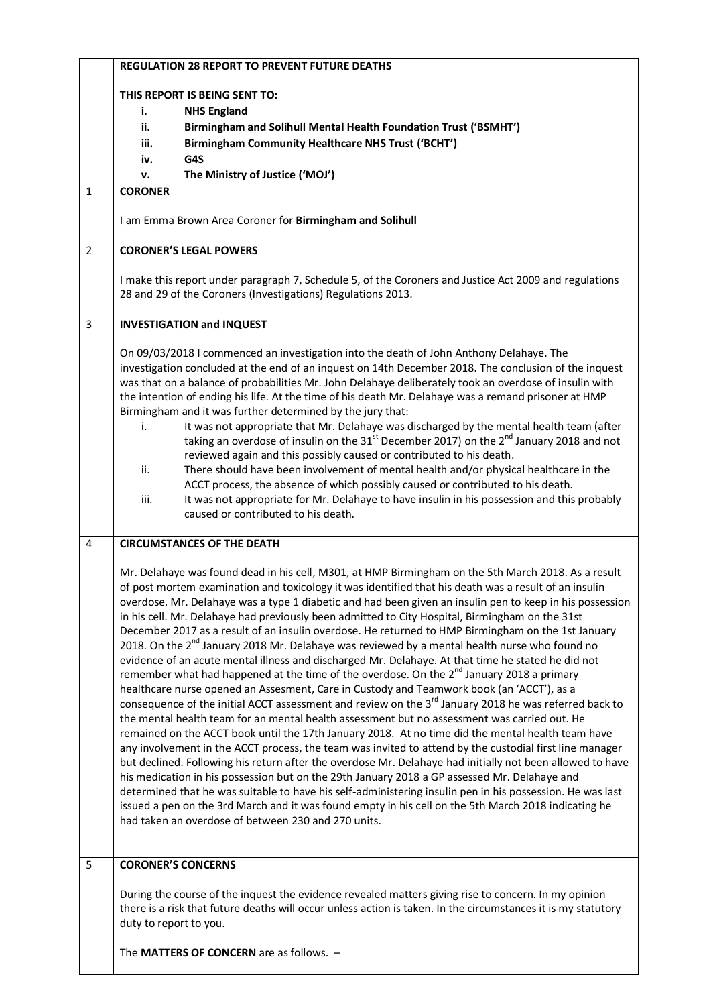|                         | <b>REGULATION 28 REPORT TO PREVENT FUTURE DEATHS</b>                                                                                                                                                                                                                                                                                                                                                                                                                                                                                                                                                                                                                                                                                                                                                                                                                                                                                                                                                                                                                                                                                                                                                                                                                                                                                                                                                                                                                                                                                                                                                                                                                                                                                                                                                                                                                              |
|-------------------------|-----------------------------------------------------------------------------------------------------------------------------------------------------------------------------------------------------------------------------------------------------------------------------------------------------------------------------------------------------------------------------------------------------------------------------------------------------------------------------------------------------------------------------------------------------------------------------------------------------------------------------------------------------------------------------------------------------------------------------------------------------------------------------------------------------------------------------------------------------------------------------------------------------------------------------------------------------------------------------------------------------------------------------------------------------------------------------------------------------------------------------------------------------------------------------------------------------------------------------------------------------------------------------------------------------------------------------------------------------------------------------------------------------------------------------------------------------------------------------------------------------------------------------------------------------------------------------------------------------------------------------------------------------------------------------------------------------------------------------------------------------------------------------------------------------------------------------------------------------------------------------------|
|                         | THIS REPORT IS BEING SENT TO:                                                                                                                                                                                                                                                                                                                                                                                                                                                                                                                                                                                                                                                                                                                                                                                                                                                                                                                                                                                                                                                                                                                                                                                                                                                                                                                                                                                                                                                                                                                                                                                                                                                                                                                                                                                                                                                     |
|                         | <b>NHS England</b><br>i.<br>ii.<br>Birmingham and Solihull Mental Health Foundation Trust ('BSMHT')                                                                                                                                                                                                                                                                                                                                                                                                                                                                                                                                                                                                                                                                                                                                                                                                                                                                                                                                                                                                                                                                                                                                                                                                                                                                                                                                                                                                                                                                                                                                                                                                                                                                                                                                                                               |
|                         | <b>Birmingham Community Healthcare NHS Trust ('BCHT')</b><br>iii.                                                                                                                                                                                                                                                                                                                                                                                                                                                                                                                                                                                                                                                                                                                                                                                                                                                                                                                                                                                                                                                                                                                                                                                                                                                                                                                                                                                                                                                                                                                                                                                                                                                                                                                                                                                                                 |
|                         | G4S<br>iv.                                                                                                                                                                                                                                                                                                                                                                                                                                                                                                                                                                                                                                                                                                                                                                                                                                                                                                                                                                                                                                                                                                                                                                                                                                                                                                                                                                                                                                                                                                                                                                                                                                                                                                                                                                                                                                                                        |
|                         | The Ministry of Justice ('MOJ')<br>v.                                                                                                                                                                                                                                                                                                                                                                                                                                                                                                                                                                                                                                                                                                                                                                                                                                                                                                                                                                                                                                                                                                                                                                                                                                                                                                                                                                                                                                                                                                                                                                                                                                                                                                                                                                                                                                             |
| $\mathbf{1}$            | <b>CORONER</b>                                                                                                                                                                                                                                                                                                                                                                                                                                                                                                                                                                                                                                                                                                                                                                                                                                                                                                                                                                                                                                                                                                                                                                                                                                                                                                                                                                                                                                                                                                                                                                                                                                                                                                                                                                                                                                                                    |
|                         |                                                                                                                                                                                                                                                                                                                                                                                                                                                                                                                                                                                                                                                                                                                                                                                                                                                                                                                                                                                                                                                                                                                                                                                                                                                                                                                                                                                                                                                                                                                                                                                                                                                                                                                                                                                                                                                                                   |
|                         | I am Emma Brown Area Coroner for Birmingham and Solihull                                                                                                                                                                                                                                                                                                                                                                                                                                                                                                                                                                                                                                                                                                                                                                                                                                                                                                                                                                                                                                                                                                                                                                                                                                                                                                                                                                                                                                                                                                                                                                                                                                                                                                                                                                                                                          |
| $\overline{2}$          | <b>CORONER'S LEGAL POWERS</b>                                                                                                                                                                                                                                                                                                                                                                                                                                                                                                                                                                                                                                                                                                                                                                                                                                                                                                                                                                                                                                                                                                                                                                                                                                                                                                                                                                                                                                                                                                                                                                                                                                                                                                                                                                                                                                                     |
|                         | I make this report under paragraph 7, Schedule 5, of the Coroners and Justice Act 2009 and regulations<br>28 and 29 of the Coroners (Investigations) Regulations 2013.                                                                                                                                                                                                                                                                                                                                                                                                                                                                                                                                                                                                                                                                                                                                                                                                                                                                                                                                                                                                                                                                                                                                                                                                                                                                                                                                                                                                                                                                                                                                                                                                                                                                                                            |
| $\overline{\mathbf{3}}$ | <b>INVESTIGATION and INQUEST</b>                                                                                                                                                                                                                                                                                                                                                                                                                                                                                                                                                                                                                                                                                                                                                                                                                                                                                                                                                                                                                                                                                                                                                                                                                                                                                                                                                                                                                                                                                                                                                                                                                                                                                                                                                                                                                                                  |
|                         | On 09/03/2018 I commenced an investigation into the death of John Anthony Delahaye. The<br>investigation concluded at the end of an inquest on 14th December 2018. The conclusion of the inquest<br>was that on a balance of probabilities Mr. John Delahaye deliberately took an overdose of insulin with<br>the intention of ending his life. At the time of his death Mr. Delahaye was a remand prisoner at HMP<br>Birmingham and it was further determined by the jury that:<br>It was not appropriate that Mr. Delahaye was discharged by the mental health team (after<br>i.<br>taking an overdose of insulin on the 31 <sup>st</sup> December 2017) on the 2 <sup>nd</sup> January 2018 and not<br>reviewed again and this possibly caused or contributed to his death.<br>There should have been involvement of mental health and/or physical healthcare in the<br>ii.<br>ACCT process, the absence of which possibly caused or contributed to his death.<br>It was not appropriate for Mr. Delahaye to have insulin in his possession and this probably<br>iii.<br>caused or contributed to his death.                                                                                                                                                                                                                                                                                                                                                                                                                                                                                                                                                                                                                                                                                                                                                                   |
| 4                       | <b>CIRCUMSTANCES OF THE DEATH</b>                                                                                                                                                                                                                                                                                                                                                                                                                                                                                                                                                                                                                                                                                                                                                                                                                                                                                                                                                                                                                                                                                                                                                                                                                                                                                                                                                                                                                                                                                                                                                                                                                                                                                                                                                                                                                                                 |
|                         | Mr. Delahaye was found dead in his cell, M301, at HMP Birmingham on the 5th March 2018. As a result<br>of post mortem examination and toxicology it was identified that his death was a result of an insulin<br>overdose. Mr. Delahaye was a type 1 diabetic and had been given an insulin pen to keep in his possession<br>in his cell. Mr. Delahaye had previously been admitted to City Hospital, Birmingham on the 31st<br>December 2017 as a result of an insulin overdose. He returned to HMP Birmingham on the 1st January<br>2018. On the $2^{nd}$ January 2018 Mr. Delahaye was reviewed by a mental health nurse who found no<br>evidence of an acute mental illness and discharged Mr. Delahaye. At that time he stated he did not<br>remember what had happened at the time of the overdose. On the 2 <sup>nd</sup> January 2018 a primary<br>healthcare nurse opened an Assesment, Care in Custody and Teamwork book (an 'ACCT'), as a<br>consequence of the initial ACCT assessment and review on the 3 <sup>rd</sup> January 2018 he was referred back to<br>the mental health team for an mental health assessment but no assessment was carried out. He<br>remained on the ACCT book until the 17th January 2018. At no time did the mental health team have<br>any involvement in the ACCT process, the team was invited to attend by the custodial first line manager<br>but declined. Following his return after the overdose Mr. Delahaye had initially not been allowed to have<br>his medication in his possession but on the 29th January 2018 a GP assessed Mr. Delahaye and<br>determined that he was suitable to have his self-administering insulin pen in his possession. He was last<br>issued a pen on the 3rd March and it was found empty in his cell on the 5th March 2018 indicating he<br>had taken an overdose of between 230 and 270 units. |
| 5                       | <b>CORONER'S CONCERNS</b><br>During the course of the inquest the evidence revealed matters giving rise to concern. In my opinion<br>there is a risk that future deaths will occur unless action is taken. In the circumstances it is my statutory<br>duty to report to you.                                                                                                                                                                                                                                                                                                                                                                                                                                                                                                                                                                                                                                                                                                                                                                                                                                                                                                                                                                                                                                                                                                                                                                                                                                                                                                                                                                                                                                                                                                                                                                                                      |
|                         | The MATTERS OF CONCERN are as follows. -                                                                                                                                                                                                                                                                                                                                                                                                                                                                                                                                                                                                                                                                                                                                                                                                                                                                                                                                                                                                                                                                                                                                                                                                                                                                                                                                                                                                                                                                                                                                                                                                                                                                                                                                                                                                                                          |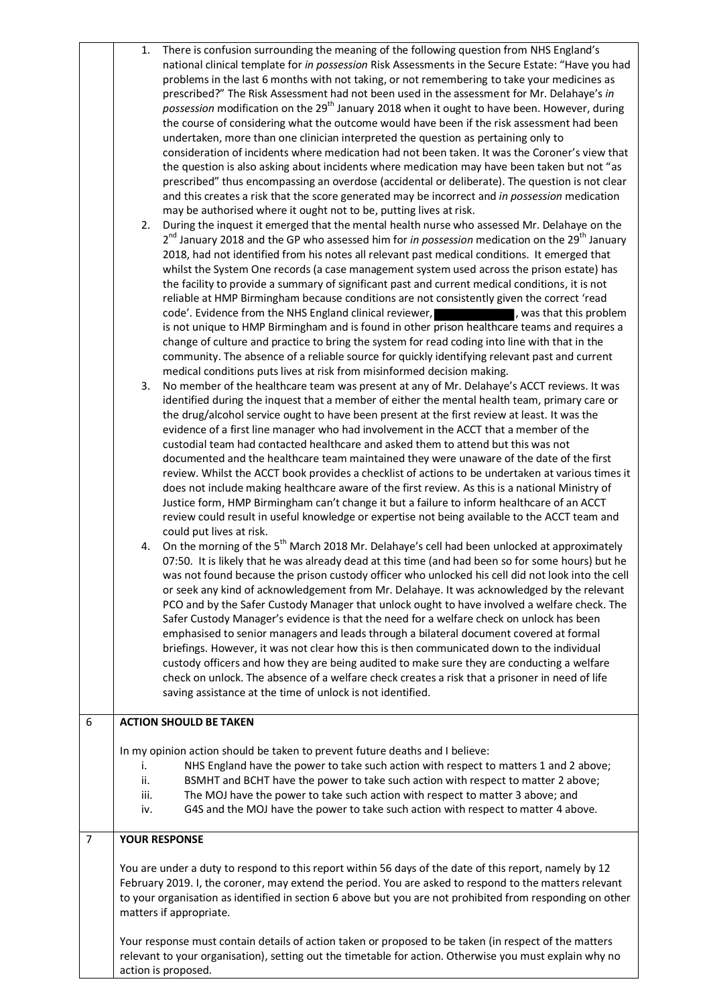|                  | There is confusion surrounding the meaning of the following question from NHS England's<br>1.<br>national clinical template for in possession Risk Assessments in the Secure Estate: "Have you had<br>problems in the last 6 months with not taking, or not remembering to take your medicines as<br>prescribed?" The Risk Assessment had not been used in the assessment for Mr. Delahaye's in<br>possession modification on the 29 <sup>th</sup> January 2018 when it ought to have been. However, during<br>the course of considering what the outcome would have been if the risk assessment had been<br>undertaken, more than one clinician interpreted the question as pertaining only to<br>consideration of incidents where medication had not been taken. It was the Coroner's view that<br>the question is also asking about incidents where medication may have been taken but not "as<br>prescribed" thus encompassing an overdose (accidental or deliberate). The question is not clear<br>and this creates a risk that the score generated may be incorrect and in possession medication<br>may be authorised where it ought not to be, putting lives at risk.<br>During the inquest it emerged that the mental health nurse who assessed Mr. Delahaye on the<br>2. |  |
|------------------|-----------------------------------------------------------------------------------------------------------------------------------------------------------------------------------------------------------------------------------------------------------------------------------------------------------------------------------------------------------------------------------------------------------------------------------------------------------------------------------------------------------------------------------------------------------------------------------------------------------------------------------------------------------------------------------------------------------------------------------------------------------------------------------------------------------------------------------------------------------------------------------------------------------------------------------------------------------------------------------------------------------------------------------------------------------------------------------------------------------------------------------------------------------------------------------------------------------------------------------------------------------------------------------|--|
|                  | 2 <sup>nd</sup> January 2018 and the GP who assessed him for <i>in possession</i> medication on the 29 <sup>th</sup> January<br>2018, had not identified from his notes all relevant past medical conditions. It emerged that<br>whilst the System One records (a case management system used across the prison estate) has<br>the facility to provide a summary of significant past and current medical conditions, it is not<br>reliable at HMP Birmingham because conditions are not consistently given the correct 'read<br>code'. Evidence from the NHS England clinical reviewer, https://was.that.this.problem<br>is not unique to HMP Birmingham and is found in other prison healthcare teams and requires a<br>change of culture and practice to bring the system for read coding into line with that in the<br>community. The absence of a reliable source for quickly identifying relevant past and current                                                                                                                                                                                                                                                                                                                                                           |  |
|                  | medical conditions puts lives at risk from misinformed decision making.<br>No member of the healthcare team was present at any of Mr. Delahaye's ACCT reviews. It was<br>3.<br>identified during the inquest that a member of either the mental health team, primary care or<br>the drug/alcohol service ought to have been present at the first review at least. It was the<br>evidence of a first line manager who had involvement in the ACCT that a member of the<br>custodial team had contacted healthcare and asked them to attend but this was not<br>documented and the healthcare team maintained they were unaware of the date of the first<br>review. Whilst the ACCT book provides a checklist of actions to be undertaken at various times it<br>does not include making healthcare aware of the first review. As this is a national Ministry of<br>Justice form, HMP Birmingham can't change it but a failure to inform healthcare of an ACCT<br>review could result in useful knowledge or expertise not being available to the ACCT team and<br>could put lives at risk.                                                                                                                                                                                         |  |
|                  | On the morning of the 5 <sup>th</sup> March 2018 Mr. Delahaye's cell had been unlocked at approximately<br>4.<br>07:50. It is likely that he was already dead at this time (and had been so for some hours) but he<br>was not found because the prison custody officer who unlocked his cell did not look into the cell<br>or seek any kind of acknowledgement from Mr. Delahaye. It was acknowledged by the relevant<br>PCO and by the Safer Custody Manager that unlock ought to have involved a welfare check. The<br>Safer Custody Manager's evidence is that the need for a welfare check on unlock has been<br>emphasised to senior managers and leads through a bilateral document covered at formal<br>briefings. However, it was not clear how this is then communicated down to the individual<br>custody officers and how they are being audited to make sure they are conducting a welfare<br>check on unlock. The absence of a welfare check creates a risk that a prisoner in need of life<br>saving assistance at the time of unlock is not identified.                                                                                                                                                                                                            |  |
| $\boldsymbol{6}$ | <b>ACTION SHOULD BE TAKEN</b>                                                                                                                                                                                                                                                                                                                                                                                                                                                                                                                                                                                                                                                                                                                                                                                                                                                                                                                                                                                                                                                                                                                                                                                                                                                     |  |
|                  | In my opinion action should be taken to prevent future deaths and I believe:<br>NHS England have the power to take such action with respect to matters 1 and 2 above;<br>i.<br>BSMHT and BCHT have the power to take such action with respect to matter 2 above;<br>ii.<br>The MOJ have the power to take such action with respect to matter 3 above; and<br>iii.<br>G4S and the MOJ have the power to take such action with respect to matter 4 above.<br>iv.                                                                                                                                                                                                                                                                                                                                                                                                                                                                                                                                                                                                                                                                                                                                                                                                                    |  |
| $\overline{7}$   | <b>YOUR RESPONSE</b>                                                                                                                                                                                                                                                                                                                                                                                                                                                                                                                                                                                                                                                                                                                                                                                                                                                                                                                                                                                                                                                                                                                                                                                                                                                              |  |
|                  | You are under a duty to respond to this report within 56 days of the date of this report, namely by 12<br>February 2019. I, the coroner, may extend the period. You are asked to respond to the matters relevant<br>to your organisation as identified in section 6 above but you are not prohibited from responding on other<br>matters if appropriate.                                                                                                                                                                                                                                                                                                                                                                                                                                                                                                                                                                                                                                                                                                                                                                                                                                                                                                                          |  |
|                  | Your response must contain details of action taken or proposed to be taken (in respect of the matters<br>relevant to your organisation), setting out the timetable for action. Otherwise you must explain why no                                                                                                                                                                                                                                                                                                                                                                                                                                                                                                                                                                                                                                                                                                                                                                                                                                                                                                                                                                                                                                                                  |  |

action is proposed.